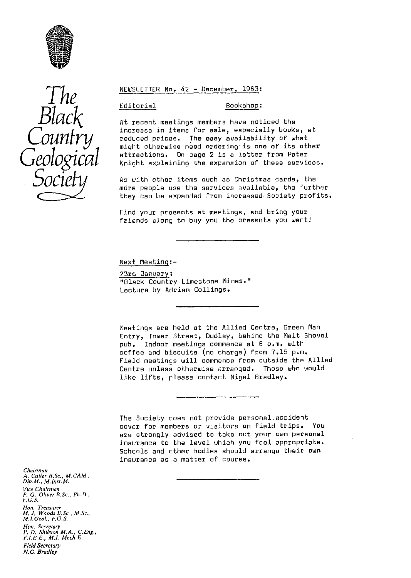

# *The Black Counfry Geological Socte*

#### NEWSLETTER No. 42 - December, 1963:

#### Editorial Bookshop :

At recent meetings members have noticed the increase in items for sale, especially books, at reduced prices. The easy availability of what might otherwise need ordering is one of its other attractions. On page 2 is a letter from Peter Knight explaining the expansion of these services.

As with other items such as Christmas cards, the more people use the services available, the further they can be expanded from increased Society profits.

Find your presents at meetings, and bring your friends along to buy you the presents you want!

Next Meeting:-

23rd January : "Black Country Limestone Mines." Lecture by Adrian Collings.

Meetings are held at the Allied Centre, Green Man Entry, Tower Street, Dudley, behind the Malt Shovel pub. Indoor meetings commence at 8 p.m. with coffee and biscuits (no charge) from 7.15 p.m. Field meetings will commence from outside the Allied Centre unless otherwise arranged. Those who would like lifts, please contact Nigel Bradley.

The Society does not provide personal.accident cover for members or visitors on field trips. You are strongly advised to take out your own personal insurance to the level which you feel appropriate. Schools and other bodies should arrange their own insurance as a matter of course.

*Chairman* A. Cutler B.Sc., M.CAM. *Dip.M., M.lnst.M.* Vice Chairman<br>P. G. Oliver B.Sc., Ph.D.,<br>F.G.S. *Hon. Treasurer M. J, Woods B. Sc, , M. Sc., M. 1. Geol., F. G. S. Flora, Secretary P. D. Shilsion M.A., C.Eng., F.1. E. E., M.1, Mech.E. Field Secretary N.G. Bradley*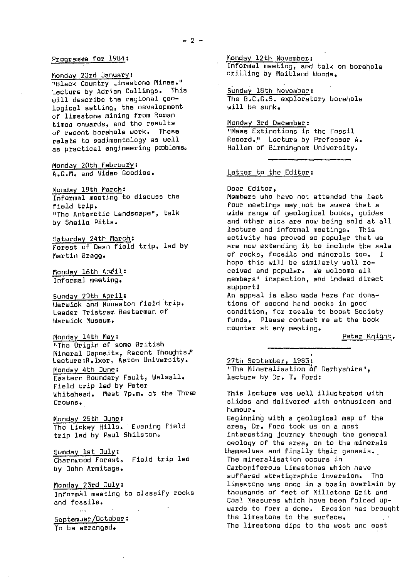#### Programme for 1984;

Monday 23rd January: "Black Country Limestone Mines." Lecture by Adrian Collings. This will describe the regional geological setting, the development of limestone mining from Roman times onwards, and the results of recent borehole work. These relate to sedimentology as well as practical engineering problems.

Monday 20th February: A.G.M. and Video Goodies.

Monday 19th March: Informal meeting to discuss the field trip. "The Antarctic Landscape", talk by Sheila Pitts.

Saturday 24th March: Forest of Dean field trip, led by Martin Bragg.

Monday 16th April: Informal meeting.

Sunday 29th April: Warwick and Nuneaton field trip. Leader Tristram Desterman of Warwick Museum.

Monday 14th May:

"The Origin of some British Mineral Deposits, Recent Thoughts." Lecture:R.Ixer, Aston University. Monday 4th June : Eastern Boundary Fault, Walsall. Field trip led by Peter Whitehead. Meet 7p.m. at the Threa Crowns.

Monday 25th June: The Lickey Hills. Evening field trip led by Paul Shilston.

Sunday 1st July : Charnwood Forest. Field trip led by Bohn Armitage.

Monday 23rd July : Informal meeting to classify rocks and fossils.

September/October : To be arranged.

Monday 12th November. : Informal meeting, and talk an borehole drilling by Maitland Woods,

Sunday 18th November: The B.C.G.S, exploratory borehole will be sunk.

Monday 3rd December : "Mass Extinctions in the Fossil Record." Lecture by Professor A. Hallam of Birmingham University.

#### Letter to the Editor:

#### Dear Editor,

Members who have not attended the last four meetings may,not be aware that a wide range of geological books, guides and other aids are now being sold at all lecture and informal meetings. This activity has proved so popular that we are now extending it to include the sale of rocks, fossils and minerals too. I hope this will be similarly well received and popular. We welcome all members' inspection, and indeed direct support) An appeal is also made here for dona-

tions of second hand books in good condition, for resale to boost Society funds. Please contact ms at the book counter at any meeting.

Peter Knight .

27th September, 1983 : "The Mineralisation of Derbyshire", lecture by Dr. T. Ford:

This lecture was well illustrated with slides and delivered with enthusiasm and humour. Beginning with a geological map of the area, Dr. Ford took us on a most interesting ,journey through the general geology of the area, on to the minerals themselves and finally their genesis. The mineralisation occurs in Carboniferous Limestones which have suffered etratigraphic inversion. The limestone was once in a basin overlain by thousands of feet of Millstone Grit and Coal Measures which have, been folded upwards to form a dome. Erosion has brought the limestone to the surface. The limestone dips to the west and east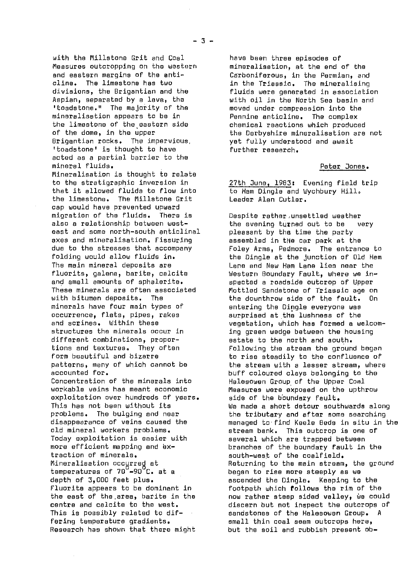with the Millstone Grit and Coal have been three episodes of<br>Measures outcropping on the western mineralisation, at the end of the Measures outcropping on the western<br>and eastern margins of the antiand eastern margins of the anti- Carboniferous, in the Permian, and cline. The limestone has two in the Triassic. The mineralising<br>divisions, the Brigantian and the influids were generated in association divisions, the Brigantian and the fluids were generated in association<br>Aspian, separated by a lava, the same with oil in the North Sea basin and 'toadstone." The majority of the moved under compression into the mineralisation appears to be in the Pennine anticline. The complex<br>the limestone of the eastern side the chemical reactions which produced the limestone of the eastern side of the dome, in the upper 'toadstone' is thought to have acted as a partial barrier to the Mineralisation is thought to relate<br>to the stratigraphic inversion in that it allowed fluids to flow into the Ham Dingle and W<br>the limestone. The Millstone Grit the Leader Alan Cutler. the limestone. The Millstone Grit cap would have prevented upward<br>mioration of the fluids. There is migration of the fluids. There is Despite rather,unsettled weather<br>also a relationship between west- the evening turped out to be east and some north-south anticlinal axes and mineralisation. Fissuring assembled in the car park at the direction of the carry of the stresses that<br>due to the stresses that accompany are foley Arms. Pedmore. The entrand The main mineral deposits are lane and New Ham Lane lies near the fluorits, galena, barite, calcite in Western Boundary Fault, where we in and small amounts of sphalerite. spected a roadside outcrop of Upper<br>These minerals are often associated solutiled Sandstone of Triassic age of minerals have four main types of antering the Dingle everyone was made occurrence, flats, pipes, rakes are ass occurrence, flats, pipes, rakes surprised at the lushness of the contract of the surprised at the lushness of the surprised at the lushness of the surprised at the surprised at the surprised at the surprised at the surpris different combinations, propor-<br>tions and textures. They often following the stream the groun Concentration of the minerals into Halesowen Group, of the Upper Coal exploitation over hundreds of years.<br>This has not been without its Today exploitation is easier with several which are trapped between<br>more efficient mapping and ex- serve in the boundary fault in traction of minerals.<br>Mineralisation occurred at and all and all a south-west of the coalfield.

with oil in the North Sea basin and<br>moved under compression into the of the dome, in the upper the Derbyshire mineralisation are not<br>Brioantian rocks. The impervious. The the Lilly understood and await yet fully understood and await<br>further research.

#### Peter Jones.

27th June, 1983: Evening field trip<br>to Ham Dingle and Wychbury Hill.

the evening turned out to be very<br>pleasant by the time the party due to the stresses that accompany Foley Arms, Pedmore. The entrance to<br>folding would allow fluids in. the Dingle at the junction of Old Ham folding would allow fluids in. the Dingle at the junction of Old Hem fluorits, galena, barite, calcite Western Boundary Fault, where we in-These minerals are often associated Mottled Sandstone of Triassic age on with bitumen deposits. The the downthrow side of the fault. On<br>minerals have four main types of the entering the Dingle everyone was and scrines. Within these vegetation, which has formed a welcoming green wedge between the housing tions and textures. They often Following the stream the ground began<br>Form beautiful and bizarre Following to rise steadily to the confluence of form beautiful and bizarre the to rise steadily to the confluence of<br>patterns, many of which cannot be the stream with a lesser stream, where patterns, many of which cannot be the stream with a lesser stream, where<br>buff coloured clavs belonging to the the accounted for.<br>Concentration of the minerals into Halesowen Group of the Hoper Coal Measures were exposed on the upthrow<br>side of the boundary fault. This has not been without its which we made a short detour southwards along<br>Problems. The bulging and near whe tributary and after some searching problems. The bulging and near the tributary and after some searching disappearance of veins caused the managed to find **Keels** Beds in situ in the old mineral workers problems. stream bank. This outcrop is one of<br>Today exploitation is easier with several which are trapped between more efficient mapping and ex- branches of the boundary fault in the transition of minerals.<br>traction of minerals. Mineralisation occurred at Returning to the main stream, the ground<br>temperatures of 70 -90 C. at a began to rise more steeply as we began to rise more steeply as we depth of 3,000 feet plus. ascended the Dingle. Keeping to the Fluorite appears to be dominant in  $\qquad$  footpath which follows the rim of the the could follows the rim of the could formulate  $\qquad$ the east of the area, barite in the now rather steep sided valley, we could<br>centre and calcite to the west. The discern but not inspect the outcrops of discern but not inspect the outcrops of This is possibly related to dif- sandstones of the Halesowen Group. A<br>fering temperature gradients. small thin coal seam outcrops here, fering temperature gradients.<br>Research has shown that there might shout the soil and rubbish present ob but the soil and rubbish present ob-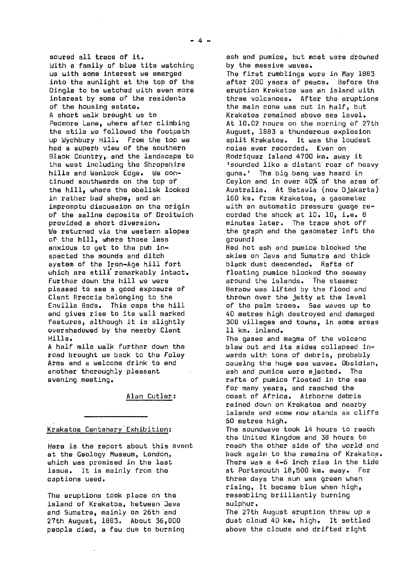scured all trace of it. With a family of blue tits watching us with some interest we emerged into the sunlight at the top of the Dingle to be watched with even more interest by some of the residents of the housing estate. A short walk brought us to Pedmore Lane, where after climbing the stile we followed the footpath up Wychbury Hill. From the top we had a superb view of the southern Black Country,. and the landscape to the west including the Shropshire hills and Wenlock Edge. We continued southwards on the top of the hill, where the obelisk looked in rather bad shape, and an impromptu discussion on the origin of the saline deposits of Droitwich provided a short diversion. We returned via the western slopes of the hill, where those less anxious to get to the pub inspected the mounds and ditch system of the Iron-Age hill fort which are still' remarkably intact. Further down the hill we were pleased to see a good exposure of Clent Breccia belonging to the<br>Enville Beds. This caps the h This caps the hill and gives rise to its well marked features, although it is slightly overshadowed by the nearby Clent Hills.

A half mile walk further down the road brought us back to the Foley Arms and a welcome drink to end another thoroughly pleasant evening meeting.

Alan Cutler :

#### Krakatoa Centenary Exhibition :

Hera is the report about this event at the Geology Museum, London, which was promised in the last issue. It is mainly from the captions used.

The eruptions took place on the island of Krakatoa, between Java and Sumatra, mainly on 26th and 27th August, 1883. About 36,000 people died, a few due to burning ash and pumice, but most were drowned by the massive waves.

The first rumblings were in May 1683 after 200 years of peace. Before the eruption Krakatoa was an island with three volcanoes. After the eruptions the main cone was out in half, but Krakatoa remained above sea level. At 10.02 hours on the morning of 27th August, 1883 a thunderous explosion split Krakatoa. It was the loudest noise ever recorded. Even on Rodriquez Island 4700 km. away it 'sounded like a distant roar of heavy guns.' The big bang was heard in Ceylon and in over 40% of the area of.' Australia. At Batavia (now Djakarta) 160 km. from Krakatoa, a gasometer with an automatic pressure guage recorded the shock at 10. 10, i.e. 8 minutes later. The trace shot off the graph and the gasometer left the around!

Red hot ash and pumice blocked the skies on Java and Sumatra and thick black dust descended. Rafts of floating pumice blocked the seaway around the islands. The steamer Beraow was lifted by the flood and thrown over the jetty at the level of the palm trees. Sea waves up to 40 metres high destroyed and damaged 300 villages and towns, in some areas 11 km. inland.

The gases and magma of the volcano blew out and its sides collapsed inwards with tons of debris, probably causing the huge see waves. Obsidian, ash and pumice were ejected. The rafts of pumice floated in the sea for many years, and reached the coast of Africa. Airborne debris rained down on Krakatoa and nearby islands and some now stands as cliffs 60 metres high.

The soundwave took 14 hours to reach the United Kingdom and 38 hours to reach the other side of the world and back again to the remains of Krakatop. There was a 4-6 inch rise in the tide at Portsmouth 18,500 km. away. For three days the sun was green when rising, It become blue when high, resembling brilliantly burning sulphur.

The 27th August eruption threw up a dust cloud 40 km. high. It settled above the clouds and drifted right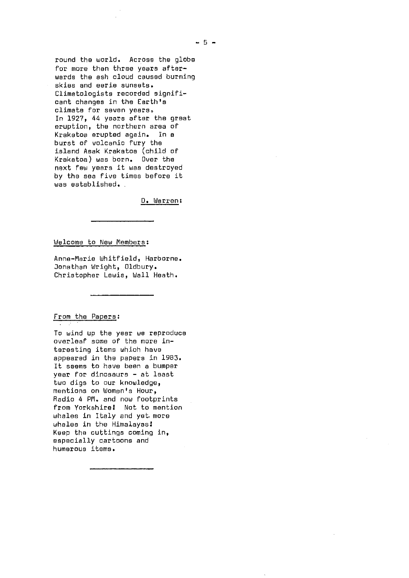round the world. Across the globe for more then three years afterwards the ash cloud caused burning skies and eerie sunsets. Climatologists recorded significant changes in the Earth's climate for seven years. In 1927, 44 years after the great eruption, the northern area of Krakatoa erupted again. In a burst of volcanic fury the island Asak Krakatoa (child of Krakatoa) was born. Over the next few years it was destroyed by the sea five times before it was established. .

D. Warren:

Welcome to New Members :

Anne-Marie Whitfield, Harborne. Jonathan Wright, Oldbury. Christopher Lewis, Wall Heath.

#### From the Papers :

To wind up the year we reproduce overleaf some of the more interesting items which have appeared in the papers in 1983. it seems to have been a bumper year for dinosaurs - at least two digs to our knowledge, mentions on Women's Hour, Radio 4 PM. and now footprints from Yorkshire! Not to mention whales in Italy and yet more whales in the Himalayas! Keep the cuttings coming in, especially oartoons and humerous items.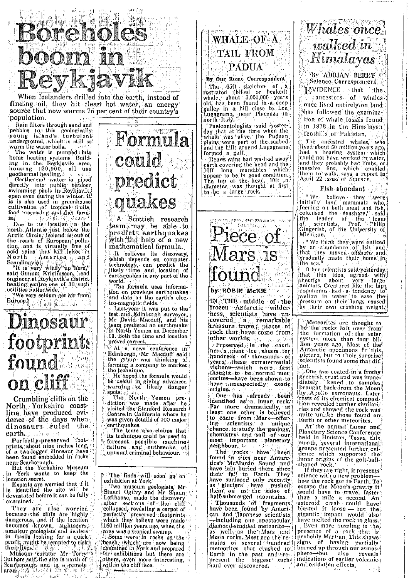

When Icelanders drilled into the earth, instead of finding oil, they hit clean hot water, an energy source that now warms 75 per cent of their country's population.

population.<br>
Rain filters through sand and<br>
pebbles to this geologically<br>
young island's turbulent<br>
underground, which is still so warm the water boils.

The water is pumped into none heating systems. Build-<br>ing int the Reykjavik area,<br>housing 120,000, all use<br>geothermal heating.

geomernial neating.<br>
Geothermal waters is piped<br>
directly into public outdoor<br>
awimming pools in Roykjavik,<br>
open even during the winter. It is is also used in greenhouse<br>cultivation of tropical fruits,<br>food processing and fish farminí Due to its location in the

Due to its location in the<br>north Atlantic just helow the<br>Arctic Circle, Reihard is ont of<br>the reach of European pollu-<br>tion, and is virtually free of<br>acid rains that kill lakes in<br>North - American second<br>Scandinavia  $\alpha$ 

Reading the contract of the conditions of the condition of the condition of the condition of the condition of the condition of the condition of the condition of the condition of the condition of the condition of the condit heating centre one of 30 such utilities nationwide.<br>We very seldom get air from

Burope of the present of

## Dinosaur footprints found on cliff

Crumbling cliffs on the North Yorkshire coastline have produced evi-<br>dence of the days when<br>dinosaurs ruled the  $\{ \frac{1}{4}, \frac{1}{4}, \frac{1}{4} \}$ earth.

Perfectly-preserved foot-<br>prints, about nine inches long, of a two-legged dinosaur have<br>been found embedded in rocks

near Scarborough.<br>
But the Yorkshire Museum<br>
in York wants to keep the<br>
location secret.

Experts are worried that if it<br>is identified the site will be<br>devastated before it can be fully oxamined.

They are also worried<br>because the elfffs are highly<br>dangerous, and if the location<br>decomes known, sightseers,<br>amateur geologists and dealers<br>in fossils looking for a quick.<br>profit, might be tempted to risk.<br>Museum wealth a

Suthers said the site is north of Scarbough and the area of  $\frac{1}{2}$ <br>area  $\frac{1}{2}$  and the area of  $\frac{1}{2}$  and  $\frac{1}{2}$  and  $\frac{1}{2}$  and  $\frac{1}{2}$  and  $\frac{1}{2}$  and  $\frac{1}{2}$  and  $\frac{1}{2}$  and  $\frac{1}{2}$  and  $\frac{1}{2}$  and  $\frac{1}{2}$  and  $\frac{1}{2}$  and  $\mathcal{M}_{\text{tot}}(k) = \alpha_{\text{tot}}(k)$ 



A Scottish research team may be able to predict earthquakes<br>with the help of a new<br>mathematical formula.

maddematical formula,<br>  $\frac{1}{2}$ , the believes its discovery,<br>
which depends on computer<br>
technology, can predict the<br>
likely time and location of<br>
earthquakes in any part of the

world. The formula uses information on previous earthquakes and data ion the earth's electro-magnetic fields.

Last year it was put to the<br>test and Edinburgh surveyor,<br>Mr David: Macduff, and his team predicted an earthquake 13. Both the time and location proved correct.

At a news conference in Edinburgh, Mr Macduff said<br>Edinburgh, Mr Macduff said<br>the group was thinking of<br>forming a company to market the technique.<br>He'hoped the formula would

be useful in giving advanced<br>warning on likely danger

spots all Morth Yemen pre-<br>The North Yemen pre-<br>diction was made after he visited the Stanford Research Centre in California where he was given dotails of 700 major earthquakes.<br>The team also claims that

its technique could be used to forecast possible machines failure and outbreaks of

The finds will soon go on exhibition at York.

Two museum geologists, Mr.<br>Stuart Ogilvy and Mr Shaun<br>Lofthouse, made the discovery<br>after sections of the cliff collapsed, revealing a carpet of<br>perfectly preserved footprints<br>which they believe were made 160 million years ago, when the

and with the stropped swamp.<br>
Some were in rocks on the being<br>
passive which are now being<br>
passive particle in the beam of the beam of the straight of the straight of the straight of the straight of the straight of the st others, oven more interesting,

### WHALE OF A TAIL FROM **PADUA**

#### By Our Rome Correspondent

The 65ft skeleton of a<br>rostrated (billed or beaked)<br>whale, about 3,000,000 years<br>old has been found in a deep gulley in a hill close to Long north Italy,

Paeleontologists said vesterday that at the time when the uay that at the time when the<br>whale was 'alive,' the Puduan<br>plains were part of the seabed<br>and the hills around Lugagnano<br>formed a gulf.

The Teater of a guit,<br>
The Teater of the bead and the<br>
dearth covering the head and the<br>
1917 Inn and the bead and the<br>
1917 Inn and the state of the state of the dameter, was thought at first<br>
diameter, was thought at fir



frozen Antarctic wilderness, scientists have uncovered a remarkable rock that have come from

Preserved... in the continuation<br>of the set of the set of the set of the set of the set of the set of the set of the set of the set of the set of the set of the set of the set of the set of the set of the set of the set of and methods with the service of the service of the series of the series of the series of the series of the series of the series of the series of the series of the series of the series of the series of the series of the ser origins.

One has already been<br>identified as a lunar rock.<br>Far more dramatically, at least one other is believed ing scientists a unique,<br>chance to study the geology,<br>chemistry and soil of our most important planetary neighbour.

regnoom.<br>
The "rocks have" been<br>
found in sites near Antarc-<br>
tica's McMurdo Sound and<br>
have lain buried there since<br>
their fall to Earth, They<br>
have surfaced only recently as glaciers have pushed<br>them on to the sides of<br>half-submerged mountains. Thousands of fragments<br>have been found by American and Japanese scientists -including one spectacular<br>diamond-studded meteoriteas well, as the Marchine-<br>as well, as the Marchine-<br>Moon rocks. Most are the re-<br>mains of several shundred<br>meteorites that crashed to<br>Earth in the past and sec-<br>present the biggest' such,<br>haul ever discovered.

## Whales once. walked in Himalayas

By ADRIAN BERRY Science Correspondent NVIDENCE that the ancestors of whales once lived entirely on land has followed the examination of whale fossils found: in 1978 in the Himalayan foothills of Pakistan.

A The ancestral whales, who<br>in the ancestral whales, who<br>in the ancestral whales, who<br>in the about 50 million years ago,<br>in the ancestral system which<br>could not have worked in water,<br>and they probably had limbs, or<br>imassiv

### Fish abundant

 $^{\rm o}$  West believe they were initially land mammals who, Initially Jane manimals who,<br>feeding on both meat and fish,<br>colonised the seashore," said,<br>the leader of the team Gingerish, of the University of Michigan,

We think they were enticed<br>by an abundance of fish, and<br>that they moved offshore and gradually made their home in

atus sea.<br>
Ethat this idea agreed with<br>
that this idea agreed with<br>
theorigs about very large<br>
animals Creatures like the hipanimals, creatures five the inequality<br>wallow in water to ease the<br>pressure on their lungs caused<br>by their own crushing weight.

Meteorites are thought to<br>be the rocks left over from<br>the formation of the solar. system more than four bill<br>lion years ago. Most of the<br>Antarctic specimens fit this,<br>picture, but to their surprise,<br>scientists found some that did,

by Apollo ustronauts. Later tion revealed further similarities and showed the rock was Earth or other meteorites.

At the annual Lunar and Planetary Science Conference groups presented further evidence which supported the shaped rock,

If they are right, it presents<sup>5</sup> science with a new problemscience with a new problem—<br>how the rock got to Earth; To<br>escape the Moon's gravity it<br>would have to travel faster<br>than a mile a second. An<br>asteroid crash could have<br>blasted it loose — but the<br>gigantic impact would also have melted the rock to glass. Even more puzzling is the, presence of a rock that is<br>probably Martian, This shows!<br>signs of having partially<br>burned up through our atmosphere—but also reveals indications of earlier volcanic) and oxidation effects.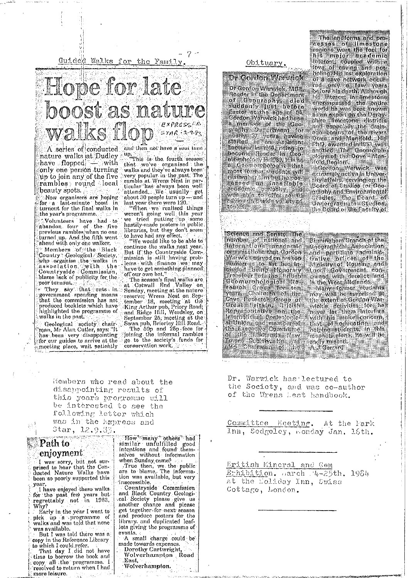Guided Walks for the Family.



A series of conducted and then not have a solut turn<br>nature walks at Dudley a <sup>up</sup> "This is the fourth season. have flopped.  $-$  with only one person turning up to join any of the five rambles round local beauty spots.  $\langle$ 

Now organisers are hoping turnout for the final walks in the year's programme.

Aolunteers have had to<br>abandon four of the five<br>previous rambles when no one turned up. And the fifth went ahend with only one walker.

Country : Geological Slack<br>Country : Geological Society,<br>who argantse the walks in<br>asociation : with the blame lack of publicity for the poor turnout.

. They say that cuts in government spending means that the commission has not<br>produced booklets which have<br>highlighted the programme of walks in the past.

Geological (society) chair<br>man, Mr Alan Cutler, says: "It" has been very disappointing<br>for our guides to arrive at the meeting place, wait patiently

that we've organised the<br>walks and they've always been very popular in the past. The ramble at Wrens Nest in parramote at wrens Nest in particular has always been well<br>calcular has always been well<br>about 30 people turn up — and<br>last year there were 120.

weren't going well this year<br>we tried putting up some<br>hastily-made posters-in public.<br>libraries, but they don't seem to have had any effect.

continue the walks next year.<br>But if the Countryside Commission is still having problems with finance we may<br>have to get something plannod off our own but.'

off our own but."<br>
The season's final walles are<br>
at Cotwall End Valley on<br>
Sunday, meeting at the nature<br>
reserve; Wrens Nest on Sep-<br>
tember 18, meeting at the<br>
tember 18, meeting at the<br>
King Arthur pub, Priory Road;<br>
a conservation work.

Obituary.

Dr Gordon Warwick Dr Gordon Wanwick, MSS. Urstand were very week<br>Thedon in the Very Light<br>The Goography Light Store<br>Easter at the age of 84,<br>Sordon Warwick had Seen Cordon wanwick had been<br>The principle of the Cap<br>Braphy Dupchman Lor<br>Hanny Dupchman Laving<br>hanny Transform having<br>become Reader In Goo.<br>become Reader In Goo.<br>hannow haloes have e Guamorabologist that Hold Defiors (Varwick was imperfectively that in Gordon Warwick was imperfectively in the corresponding to the corresponding of the corresponding of the corresponding of the corresponding of the corr

The landforms and pro-The understand and pro-<br>
cosses for the fool for<br>
regions were the fool for<br>
his major issade mich<br>
lineest, coupled with a<br>
love of caving and pot-<br>
incling His last exploration Incline His last exploration<br>of a cave notwork occurs<br>fol a cave notwork occurs<br>fol anily a faw years<br>before his death Although<br>his interest in the centre<br>world he was deat known<br>as an experience districts<br>and expectally t Nedig Noglon'.

Science and Senato The inamber of notional and<br>International anadomic organisations that Gordon<br>Marwicksenved on arctors<br>mamerus to list but the<br>cluded buing stonerary<br>cluded buing stonerary<br>Colemorphological stress<br>concurrence for the contract construction<br>years chairmin of the Cave foresti ornanisations that Cordon

Birmingham Branch of the Goographical Association stroographical Association<br>Frattyd Officer of the<br>Frattyd Officer of the<br>Ministry of Housing and<br>Ministry of Housing and<br>Carned With derelict land<br>In the Weat Midlands In the West Midlands.<br>"Many former students"<br>"mey will be surprised at<br>"mey will be Surdon War.<br>"the axtent of Gordon War.<br>"myer" let "them interface"<br>with his major sending and<br>"helping students" in this sending major in sadly misent. A.I Genera

Dr. Warwick has lectured to the Society, and was co-author of the Wrens Lest handbook.

<u> Historian pro</u>

Committee Meeting. At the Park Inn, Sedgeley, Bonday Jan. 16th.

Eritish Mincral and Gem Ethibition. Harch 4-25th. 1984 at the Loliday Inn, Swiss Cottage, London.

Hembers who read about the disappointing results of this years programme will be interested to see the following letter which was in the Ampress and Star, 12.9.83.

Path to enjoyment

 $\mathbb{S}^{n^{\frac{3}{2}}}_{\mathbb{C}^{n}}$ 

 $\frac{1}{2}$ 

I was sorry, but not sur-<br>prised to hear that the Con-<br>ducted Nature Walks have been so poorly supported this year.

Thave enjoyed these walks for the past few years but<br>regrettably not in 1983. Why?

Early in the year I went to pick up a programme of<br>walks and was told that none was available.

But I was told there was a copy in the Reference Library to which I could refer.

That day I did not have time to borrow the book and copy all the programme. I resolved to return when I had more leisure.

"How" many "others" had"<br>similar unfulfilled good<br>intentions and found them-

mequenous and round memorial<br>when Sunday came?<br>True then, we the public<br>are to blame. The informa-<br>tion was available, but very inaccessible

countryside Commission<br>and Black Country Geologi-<br>cal Society please give us<br>another chance and please<br>get together for next season and produce posters for the library, and duplicated leaf-<br>lets giving the programme of events.

A small charge could be made towards expenses. Dorothy Cartwright, Wolverhumpton Road East.

Wolverhampton.